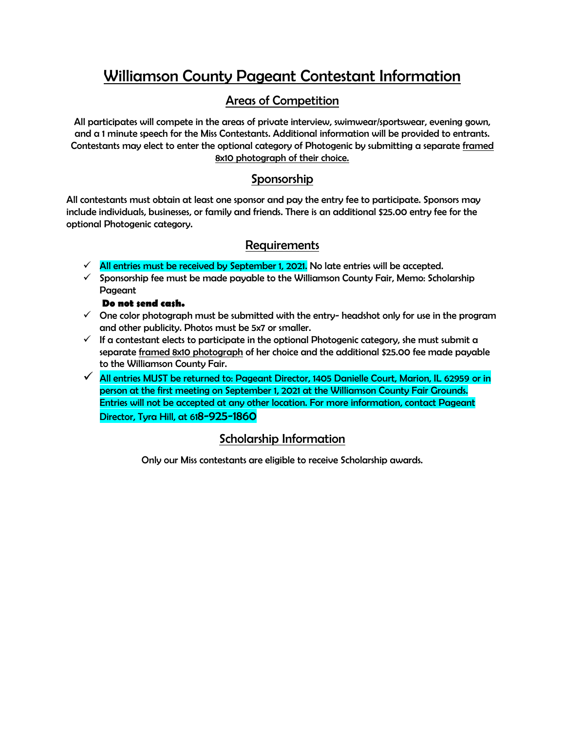# Williamson County Pageant Contestant Information

### Areas of Competition

All participates will compete in the areas of private interview, swimwear/sportswear, evening gown, and a 1 minute speech for the Miss Contestants. Additional information will be provided to entrants. Contestants may elect to enter the optional category of Photogenic by submitting a separate framed 8x10 photograph of their choice.

#### Sponsorship

All contestants must obtain at least one sponsor and pay the entry fee to participate. Sponsors may include individuals, businesses, or family and friends. There is an additional \$25.00 entry fee for the optional Photogenic category.

### Requirements

- $\checkmark$  All entries must be received by September 1, 2021. No late entries will be accepted.
- $\checkmark$  Sponsorship fee must be made payable to the Williamson County Fair, Memo: Scholarship Pageant

#### **Do not send cash.**

- $\checkmark$  One color photograph must be submitted with the entry- headshot only for use in the program and other publicity. Photos must be 5x7 or smaller.
- $\checkmark$  If a contestant elects to participate in the optional Photogenic category, she must submit a separate framed 8x10 photograph of her choice and the additional \$25.00 fee made payable to the Williamson County Fair.
- ✓ All entries MUST be returned to: Pageant Director, 1405 Danielle Court, Marion, IL 62959 or in person at the first meeting on September 1, 2021 at the Williamson County Fair Grounds. Entries will not be accepted at any other location. For more information, contact Pageant Director, Tyra Hill, at 618-925-1860

### Scholarship Information

Only our Miss contestants are eligible to receive Scholarship awards.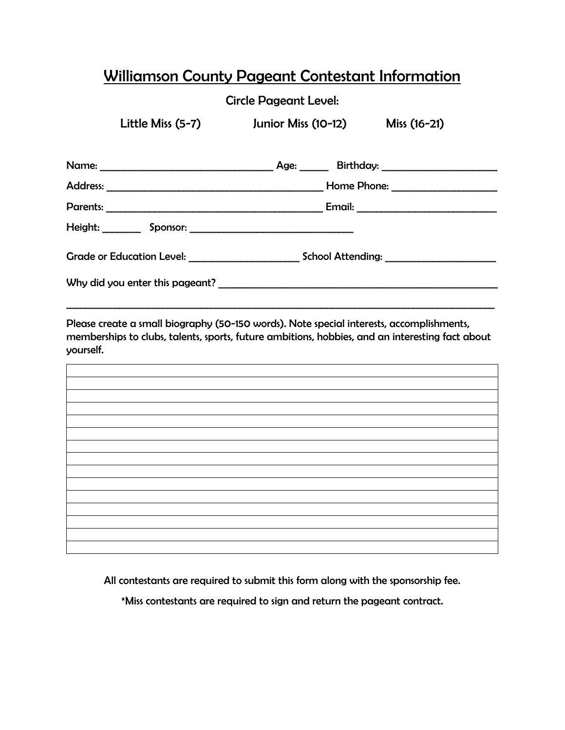# Williamson County Pageant Contestant Information

#### Circle Pageant Level:

Little Miss (5-7) Junior Miss (10-12) Miss (16-21) Name: \_\_\_\_\_\_\_\_\_\_\_\_\_\_\_\_\_\_\_\_\_\_\_\_\_\_\_\_\_\_\_\_\_\_\_\_ Age: \_\_\_\_\_\_ Birthday: \_\_\_\_\_\_\_\_\_\_\_\_\_\_\_\_\_\_\_\_\_\_\_\_ Address: \_\_\_\_\_\_\_\_\_\_\_\_\_\_\_\_\_\_\_\_\_\_\_\_\_\_\_\_\_\_\_\_\_\_\_\_\_\_\_\_\_\_\_\_\_ Home Phone: \_\_\_\_\_\_\_\_\_\_\_\_\_\_\_\_\_\_\_\_\_\_

| Parents: |          | Email: |
|----------|----------|--------|
| Height:  | Sponsor: |        |

Grade or Education Level: \_\_\_\_\_\_\_\_\_\_\_\_\_\_\_\_\_\_\_\_\_\_\_ School Attending: \_\_\_\_\_\_\_\_\_\_\_\_\_\_\_\_\_\_\_\_\_\_\_

Why did you enter this pageant? \_\_\_\_\_\_\_\_\_\_\_\_\_\_\_\_\_\_\_\_\_\_\_\_\_\_\_\_\_\_\_\_\_\_\_\_\_\_\_\_\_\_\_\_\_\_\_\_\_\_\_\_\_\_\_\_\_\_

Please create a small biography (50-150 words). Note special interests, accomplishments, memberships to clubs, talents, sports, future ambitions, hobbies, and an interesting fact about yourself.

 $\_$  ,  $\_$  ,  $\_$  ,  $\_$  ,  $\_$  ,  $\_$  ,  $\_$  ,  $\_$  ,  $\_$  ,  $\_$  ,  $\_$  ,  $\_$  ,  $\_$  ,  $\_$  ,  $\_$  ,  $\_$  ,  $\_$  ,  $\_$  ,  $\_$  ,  $\_$  ,  $\_$  ,  $\_$  ,  $\_$  ,  $\_$  ,  $\_$  ,  $\_$  ,  $\_$  ,  $\_$  ,  $\_$  ,  $\_$  ,  $\_$  ,  $\_$  ,  $\_$  ,  $\_$  ,  $\_$  ,  $\_$  ,  $\_$  ,

All contestants are required to submit this form along with the sponsorship fee.

\*Miss contestants are required to sign and return the pageant contract.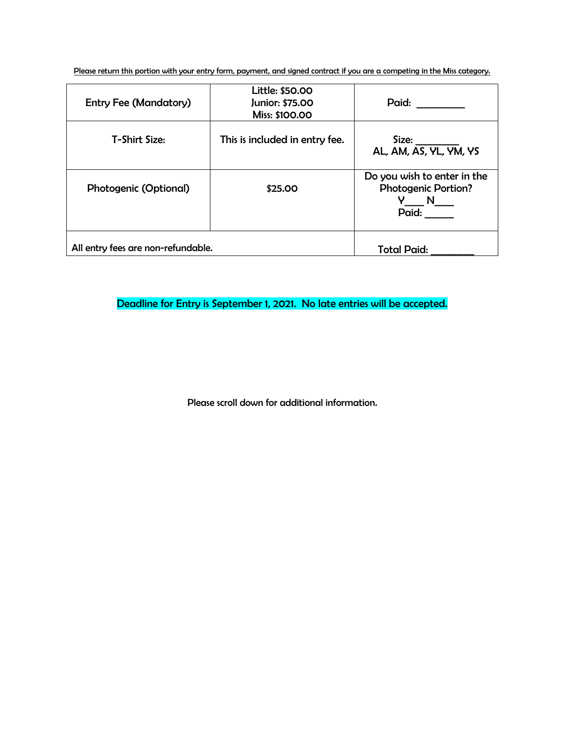Please return this portion with your entry form, payment, and signed contract if you are a competing in the Miss category.

| <b>Entry Fee (Mandatory)</b>       | Little: \$50.00<br>Junior: \$75.00<br>Miss: \$100.00 | Paid:                                                                                          |
|------------------------------------|------------------------------------------------------|------------------------------------------------------------------------------------------------|
| T-Shirt Size:                      | This is included in entry fee.                       | Size:<br>AL, AM, AS, YL, YM, YS                                                                |
| <b>Photogenic (Optional)</b>       | \$25.00                                              | Do you wish to enter in the<br><b>Photogenic Portion?</b><br>$N_{\underline{\qquad}}$<br>Paid: |
| All entry fees are non-refundable. | <b>Total Paid:</b>                                   |                                                                                                |

Deadline for Entry is September 1, 2021. No late entries will be accepted.

Please scroll down for additional information.